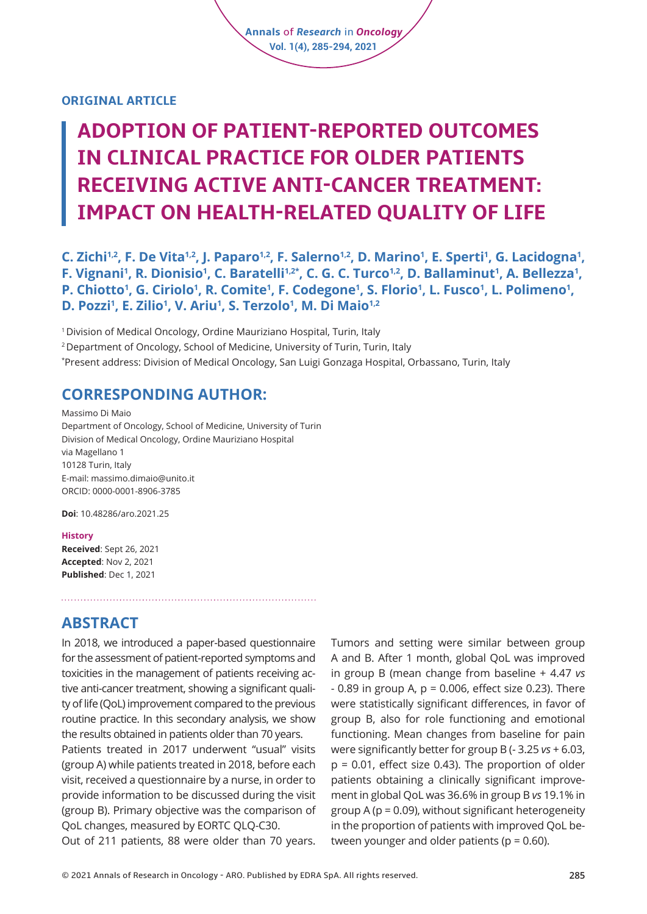#### **ORIGINAL ARTICLE**

# **ADOPTION OF PATIENT-REPORTED OUTCOMES IN CLINICAL PRACTICE FOR OLDER PATIENTS RECEIVING ACTIVE ANTI-CANCER TREATMENT: IMPACT ON HEALTH-RELATED QUALITY OF LIFE**

**Annals** of *Research* in *Oncology* **Vol. 1(4), 285-294, 2021**

C. Zichi<sup>1,2</sup>, F. De Vita<sup>1,2</sup>, J. Paparo<sup>1,2</sup>, F. Salerno<sup>1,2</sup>, D. Marino<sup>1</sup>, E. Sperti<sup>1</sup>, G. Lacidogna<sup>1</sup>, **F. Vignani<sup>1</sup>, R. Dionisio<sup>1</sup>, C. Baratelli<sup>1,2\*</sup>, C. G. C. Turco<sup>1,2</sup>, D. Ballaminut<sup>1</sup>, A. Bellezza<sup>1</sup>, P. Chiotto<sup>1</sup>, G. Ciriolo<sup>1</sup>, R. Comite<sup>1</sup>, F. Codegone<sup>1</sup>, S. Florio<sup>1</sup>, L. Fusco<sup>1</sup>, L. Polimeno<sup>1</sup>, D. Pozzi<sup>1</sup> , E. Zilio1 , V. Ariu1 , S. Terzolo<sup>1</sup> , M. Di Maio1,2**

1 Division of Medical Oncology, Ordine Mauriziano Hospital, Turin, Italy

<sup>2</sup> Department of Oncology, School of Medicine, University of Turin, Turin, Italy

\* Present address: Division of Medical Oncology, San Luigi Gonzaga Hospital, Orbassano, Turin, Italy

## **CORRESPONDING AUTHOR:**

Massimo Di Maio Department of Oncology, School of Medicine, University of Turin Division of Medical Oncology, Ordine Mauriziano Hospital via Magellano 1 10128 Turin, Italy E-mail: massimo.dimaio@unito.it ORCID: 0000-0001-8906-3785

**Doi**: [10.48286/aro.2021.25](https://www.annals-research-oncology.com/adoption-of-patient-reported-outcomes-in-clinical-practice-for-older-patients-receiving-active-anti-cancer-treatment-impact-on-health-related-quality-of-life/) 

#### **History**

**Received**: Sept 26, 2021 **Accepted**: Nov 2, 2021 **Published**: Dec 1, 2021

**ABSTRACT** 

In 2018, we introduced a paper-based questionnaire for the assessment of patient-reported symptoms and toxicities in the management of patients receiving active anti-cancer treatment, showing a significant quality of life (QoL) improvement compared to the previous routine practice. In this secondary analysis, we show the results obtained in patients older than 70 years.

Patients treated in 2017 underwent "usual" visits (group A) while patients treated in 2018, before each visit, received a questionnaire by a nurse, in order to provide information to be discussed during the visit (group B). Primary objective was the comparison of QoL changes, measured by EORTC QLQ-C30.

Out of 211 patients, 88 were older than 70 years.

Tumors and setting were similar between group A and B. After 1 month, global QoL was improved in group B (mean change from baseline + 4.47 *vs*  $-$  0.89 in group A,  $p = 0.006$ , effect size 0.23). There were statistically significant differences, in favor of group B, also for role functioning and emotional functioning. Mean changes from baseline for pain were significantly better for group B (- 3.25 *vs* + 6.03, p = 0.01, effect size 0.43). The proportion of older patients obtaining a clinically significant improvement in global QoL was 36.6% in group B *vs* 19.1% in group A ( $p = 0.09$ ), without significant heterogeneity in the proportion of patients with improved QoL between younger and older patients ( $p = 0.60$ ).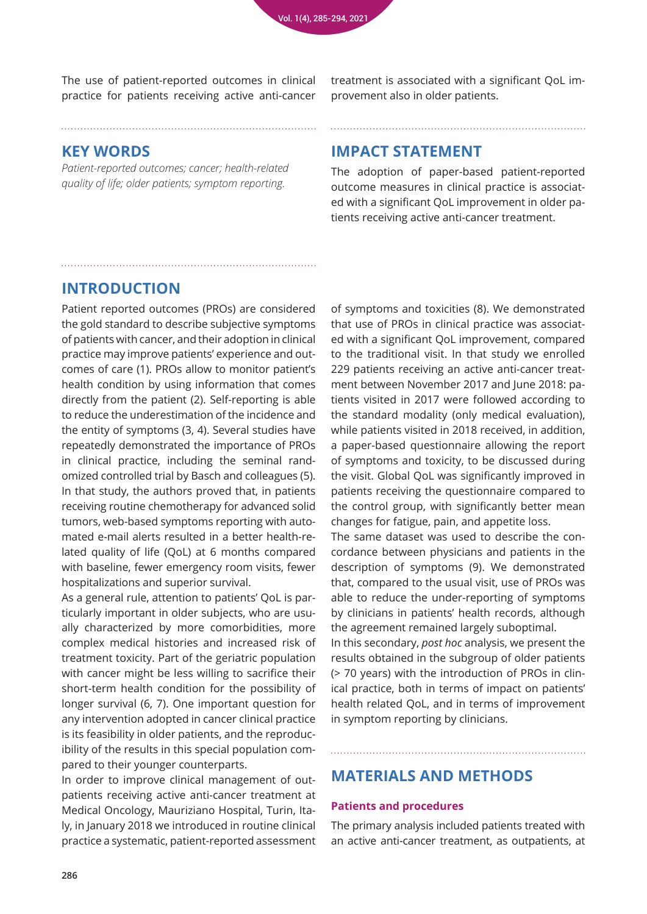The use of patient-reported outcomes in clinical practice for patients receiving active anti-cancer

treatment is associated with a significant QoL improvement also in older patients.

## **KEY WORDS**

*Patient-reported outcomes; cancer; health-related quality of life; older patients; symptom reporting.*

## **IMPACT STATEMENT**

The adoption of paper-based patient-reported outcome measures in clinical practice is associated with a significant QoL improvement in older patients receiving active anti-cancer treatment.

# **INTRODUCTION**

Patient reported outcomes (PROs) are considered the gold standard to describe subjective symptoms of patients with cancer, and their adoption in clinical practice may improve patients' experience and outcomes of care (1). PROs allow to monitor patient's health condition by using information that comes directly from the patient (2). Self-reporting is able to reduce the underestimation of the incidence and the entity of symptoms (3, 4). Several studies have repeatedly demonstrated the importance of PROs in clinical practice, including the seminal randomized controlled trial by Basch and colleagues (5). In that study, the authors proved that, in patients receiving routine chemotherapy for advanced solid tumors, web-based symptoms reporting with automated e-mail alerts resulted in a better health-related quality of life (QoL) at 6 months compared with baseline, fewer emergency room visits, fewer hospitalizations and superior survival.

As a general rule, attention to patients' QoL is particularly important in older subjects, who are usually characterized by more comorbidities, more complex medical histories and increased risk of treatment toxicity. Part of the geriatric population with cancer might be less willing to sacrifice their short-term health condition for the possibility of longer survival (6, 7). One important question for any intervention adopted in cancer clinical practice is its feasibility in older patients, and the reproducibility of the results in this special population compared to their younger counterparts.

In order to improve clinical management of outpatients receiving active anti-cancer treatment at Medical Oncology, Mauriziano Hospital, Turin, Italy, in January 2018 we introduced in routine clinical practice a systematic, patient-reported assessment

of symptoms and toxicities (8). We demonstrated that use of PROs in clinical practice was associated with a significant QoL improvement, compared to the traditional visit. In that study we enrolled 229 patients receiving an active anti-cancer treatment between November 2017 and June 2018: patients visited in 2017 were followed according to the standard modality (only medical evaluation), while patients visited in 2018 received, in addition, a paper-based questionnaire allowing the report of symptoms and toxicity, to be discussed during the visit. Global QoL was significantly improved in patients receiving the questionnaire compared to the control group, with significantly better mean changes for fatigue, pain, and appetite loss.

The same dataset was used to describe the concordance between physicians and patients in the description of symptoms (9). We demonstrated that, compared to the usual visit, use of PROs was able to reduce the under-reporting of symptoms by clinicians in patients' health records, although the agreement remained largely suboptimal.

In this secondary, *post hoc* analysis, we present the results obtained in the subgroup of older patients (> 70 years) with the introduction of PROs in clinical practice, both in terms of impact on patients' health related QoL, and in terms of improvement in symptom reporting by clinicians.

# **MATERIALS AND METHODS**

## **Patients and procedures**

The primary analysis included patients treated with an active anti-cancer treatment, as outpatients, at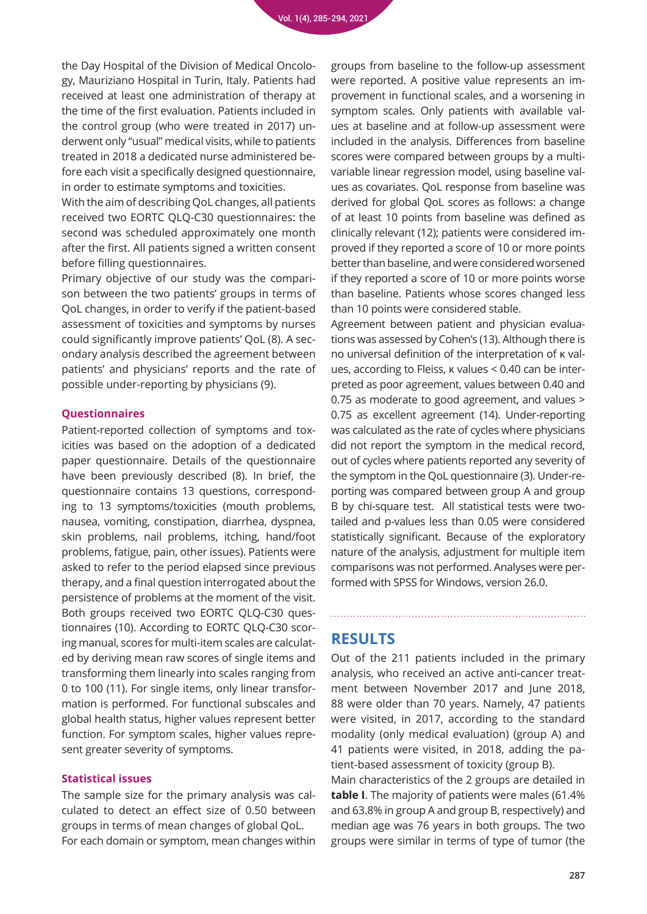the Day Hospital of the Division of Medical Oncology, Mauriziano Hospital in Turin, Italy. Patients had received at least one administration of therapy at the time of the first evaluation. Patients included in the control group (who were treated in 2017) underwent only "usual" medical visits, while to patients treated in 2018 a dedicated nurse administered before each visit a specifically designed questionnaire, in order to estimate symptoms and toxicities.

With the aim of describing QoL changes, all patients received two EORTC QLQ-C30 questionnaires: the second was scheduled approximately one month after the first. All patients signed a written consent before filling questionnaires.

Primary objective of our study was the comparison between the two patients' groups in terms of QoL changes, in order to verify if the patient-based assessment of toxicities and symptoms by nurses could significantly improve patients' QoL (8). A secondary analysis described the agreement between patients' and physicians' reports and the rate of possible under-reporting by physicians (9).

#### **Questionnaires**

Patient-reported collection of symptoms and toxicities was based on the adoption of a dedicated paper questionnaire. Details of the questionnaire have been previously described (8). In brief, the questionnaire contains 13 questions, corresponding to 13 symptoms/toxicities (mouth problems, nausea, vomiting, constipation, diarrhea, dyspnea, skin problems, nail problems, itching, hand/foot problems, fatigue, pain, other issues). Patients were asked to refer to the period elapsed since previous therapy, and a final question interrogated about the persistence of problems at the moment of the visit. Both groups received two EORTC QLQ-C30 questionnaires (10). According to EORTC QLQ-C30 scoring manual, scores for multi-item scales are calculated by deriving mean raw scores of single items and transforming them linearly into scales ranging from 0 to 100 (11). For single items, only linear transformation is performed. For functional subscales and global health status, higher values represent better function. For symptom scales, higher values represent greater severity of symptoms.

#### **Statistical issues**

The sample size for the primary analysis was calculated to detect an effect size of 0.50 between groups in terms of mean changes of global QoL. For each domain or symptom, mean changes within

groups from baseline to the follow-up assessment were reported. A positive value represents an improvement in functional scales, and a worsening in symptom scales. Only patients with available values at baseline and at follow-up assessment were included in the analysis. Differences from baseline scores were compared between groups by a multivariable linear regression model, using baseline values as covariates. QoL response from baseline was derived for global QoL scores as follows: a change of at least 10 points from baseline was defined as clinically relevant (12); patients were considered improved if they reported a score of 10 or more points better than baseline, and were considered worsened if they reported a score of 10 or more points worse than baseline. Patients whose scores changed less than 10 points were considered stable.

Agreement between patient and physician evaluations was assessed by Cohen's (13). Although there is no universal definition of the interpretation of κ values, according to Fleiss, κ values < 0.40 can be interpreted as poor agreement, values between 0.40 and 0.75 as moderate to good agreement, and values > 0.75 as excellent agreement (14). Under-reporting was calculated as the rate of cycles where physicians did not report the symptom in the medical record, out of cycles where patients reported any severity of the symptom in the QoL questionnaire (3). Under-reporting was compared between group A and group B by chi-square test. All statistical tests were twotailed and p-values less than 0.05 were considered statistically significant. Because of the exploratory nature of the analysis, adjustment for multiple item comparisons was not performed. Analyses were performed with SPSS for Windows, version 26.0.

## **RESULTS**

Out of the 211 patients included in the primary analysis, who received an active anti-cancer treatment between November 2017 and June 2018, 88 were older than 70 years. Namely, 47 patients were visited, in 2017, according to the standard modality (only medical evaluation) (group A) and 41 patients were visited, in 2018, adding the patient-based assessment of toxicity (group B).

Main characteristics of the 2 groups are detailed in **table I**. The majority of patients were males (61.4% and 63.8% in group A and group B, respectively) and median age was 76 years in both groups. The two groups were similar in terms of type of tumor (the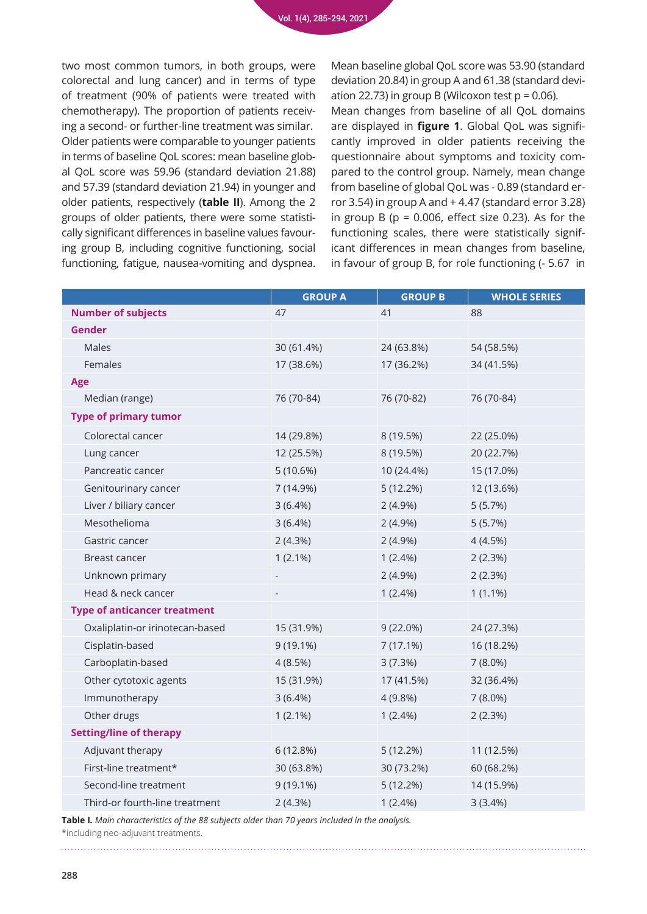two most common tumors, in both groups, were colorectal and lung cancer) and in terms of type of treatment (90% of patients were treated with chemotherapy). The proportion of patients receiving a second- or further-line treatment was similar. Older patients were comparable to younger patients in terms of baseline QoL scores: mean baseline global QoL score was 59.96 (standard deviation 21.88) and 57.39 (standard deviation 21.94) in younger and older patients, respectively (**table II**). Among the 2 groups of older patients, there were some statistically significant differences in baseline values favouring group B, including cognitive functioning, social functioning, fatigue, nausea-vomiting and dyspnea.

Mean baseline global QoL score was 53.90 (standard deviation 20.84) in group A and 61.38 (standard deviation 22.73) in group B (Wilcoxon test  $p = 0.06$ ).

Mean changes from baseline of all QoL domains are displayed in **figure 1**. Global QoL was significantly improved in older patients receiving the questionnaire about symptoms and toxicity compared to the control group. Namely, mean change from baseline of global QoL was - 0.89 (standard error 3.54) in group A and + 4.47 (standard error 3.28) in group B ( $p = 0.006$ , effect size 0.23). As for the functioning scales, there were statistically significant differences in mean changes from baseline, in favour of group B, for role functioning (- 5.67 in

|                                     | <b>GROUP A</b>    | <b>GROUP B</b> | <b>WHOLE SERIES</b> |
|-------------------------------------|-------------------|----------------|---------------------|
| <b>Number of subjects</b>           | 47                | 41             | 88                  |
| <b>Gender</b>                       |                   |                |                     |
| <b>Males</b>                        | 30 (61.4%)        | 24 (63.8%)     | 54 (58.5%)          |
| Females                             | 17 (38.6%)        | 17 (36.2%)     | 34 (41.5%)          |
| Age                                 |                   |                |                     |
| Median (range)                      | 76 (70-84)        | 76 (70-82)     | 76 (70-84)          |
| <b>Type of primary tumor</b>        |                   |                |                     |
| Colorectal cancer                   | 14 (29.8%)        | 8 (19.5%)      | 22 (25.0%)          |
| Lung cancer                         | 12 (25.5%)        | 8 (19.5%)      | 20 (22.7%)          |
| Pancreatic cancer                   | 5(10.6%)          | 10 (24.4%)     | 15 (17.0%)          |
| Genitourinary cancer                | 7 (14.9%)         | 5(12.2%)       | 12 (13.6%)          |
| Liver / biliary cancer              | $3(6.4\%)$        | $2(4.9\%)$     | 5(5.7%)             |
| Mesothelioma                        | $3(6.4\%)$        | $2(4.9\%)$     | 5(5.7%)             |
| Gastric cancer                      | 2(4.3%)           | $2(4.9\%)$     | 4(4.5%)             |
| Breast cancer                       | $1(2.1\%)$        | $1(2.4\%)$     | 2(2.3%)             |
| Unknown primary                     | $\qquad \qquad -$ | $2(4.9\%)$     | 2(2.3%)             |
| Head & neck cancer                  |                   | $1(2.4\%)$     | $1(1.1\%)$          |
| <b>Type of anticancer treatment</b> |                   |                |                     |
| Oxaliplatin-or irinotecan-based     | 15 (31.9%)        | $9(22.0\%)$    | 24 (27.3%)          |
| Cisplatin-based                     | $9(19.1\%)$       | 7(17.1%)       | 16 (18.2%)          |
| Carboplatin-based                   | 4(8.5%)           | 3(7.3%)        | $7(8.0\%)$          |
| Other cytotoxic agents              | 15 (31.9%)        | 17 (41.5%)     | 32 (36.4%)          |
| Immunotherapy                       | 3(6.4%)           | 4(9.8%)        | $7(8.0\%)$          |
| Other drugs                         | $1(2.1\%)$        | $1(2.4\%)$     | 2(2.3%)             |
| <b>Setting/line of therapy</b>      |                   |                |                     |
| Adjuvant therapy                    | 6(12.8%)          | 5(12.2%)       | 11 (12.5%)          |
| First-line treatment*               | 30 (63.8%)        | 30 (73.2%)     | 60 (68.2%)          |
| Second-line treatment               | $9(19.1\%)$       | 5(12.2%)       | 14 (15.9%)          |
| Third-or fourth-line treatment      | 2(4.3%)           | $1(2.4\%)$     | 3(3.4%)             |

**Table I***. Main characteristics of the 88 subjects older than 70 years included in the analysis.* \*including neo-adjuvant treatments.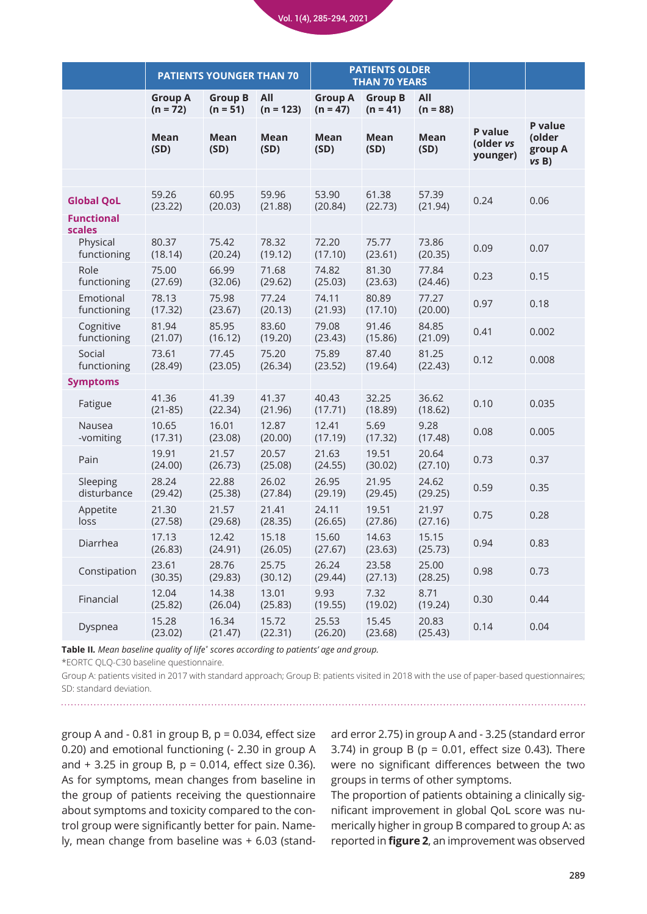Vol. 1(4), 285-294, 2021

|                             | <b>PATIENTS YOUNGER THAN 70</b> |                              | <b>PATIENTS OLDER</b><br><b>THAN 70 YEARS</b> |                              |                              |                     |                                  |                                      |
|-----------------------------|---------------------------------|------------------------------|-----------------------------------------------|------------------------------|------------------------------|---------------------|----------------------------------|--------------------------------------|
|                             | <b>Group A</b><br>$(n = 72)$    | <b>Group B</b><br>$(n = 51)$ | All<br>$(n = 123)$                            | <b>Group A</b><br>$(n = 47)$ | <b>Group B</b><br>$(n = 41)$ | All<br>$(n = 88)$   |                                  |                                      |
|                             | <b>Mean</b><br>(SD)             | <b>Mean</b><br>(SD)          | <b>Mean</b><br>(SD)                           | <b>Mean</b><br>(SD)          | <b>Mean</b><br>(SD)          | <b>Mean</b><br>(SD) | P value<br>(older vs<br>younger) | P value<br>(older<br>group A<br>vsB) |
|                             |                                 |                              |                                               |                              |                              |                     |                                  |                                      |
| <b>Global QoL</b>           | 59.26<br>(23.22)                | 60.95<br>(20.03)             | 59.96<br>(21.88)                              | 53.90<br>(20.84)             | 61.38<br>(22.73)             | 57.39<br>(21.94)    | 0.24                             | 0.06                                 |
| <b>Functional</b><br>scales |                                 |                              |                                               |                              |                              |                     |                                  |                                      |
| Physical<br>functioning     | 80.37<br>(18.14)                | 75.42<br>(20.24)             | 78.32<br>(19.12)                              | 72.20<br>(17.10)             | 75.77<br>(23.61)             | 73.86<br>(20.35)    | 0.09                             | 0.07                                 |
| Role<br>functioning         | 75.00<br>(27.69)                | 66.99<br>(32.06)             | 71.68<br>(29.62)                              | 74.82<br>(25.03)             | 81.30<br>(23.63)             | 77.84<br>(24.46)    | 0.23                             | 0.15                                 |
| Emotional<br>functioning    | 78.13<br>(17.32)                | 75.98<br>(23.67)             | 77.24<br>(20.13)                              | 74.11<br>(21.93)             | 80.89<br>(17.10)             | 77.27<br>(20.00)    | 0.97                             | 0.18                                 |
| Cognitive<br>functioning    | 81.94<br>(21.07)                | 85.95<br>(16.12)             | 83.60<br>(19.20)                              | 79.08<br>(23.43)             | 91.46<br>(15.86)             | 84.85<br>(21.09)    | 0.41                             | 0.002                                |
| Social<br>functioning       | 73.61<br>(28.49)                | 77.45<br>(23.05)             | 75.20<br>(26.34)                              | 75.89<br>(23.52)             | 87.40<br>(19.64)             | 81.25<br>(22.43)    | 0.12                             | 0.008                                |
| <b>Symptoms</b>             |                                 |                              |                                               |                              |                              |                     |                                  |                                      |
| Fatigue                     | 41.36<br>$(21-85)$              | 41.39<br>(22.34)             | 41.37<br>(21.96)                              | 40.43<br>(17.71)             | 32.25<br>(18.89)             | 36.62<br>(18.62)    | 0.10                             | 0.035                                |
| Nausea<br>-vomiting         | 10.65<br>(17.31)                | 16.01<br>(23.08)             | 12.87<br>(20.00)                              | 12.41<br>(17.19)             | 5.69<br>(17.32)              | 9.28<br>(17.48)     | 0.08                             | 0.005                                |
| Pain                        | 19.91<br>(24.00)                | 21.57<br>(26.73)             | 20.57<br>(25.08)                              | 21.63<br>(24.55)             | 19.51<br>(30.02)             | 20.64<br>(27.10)    | 0.73                             | 0.37                                 |
| Sleeping<br>disturbance     | 28.24<br>(29.42)                | 22.88<br>(25.38)             | 26.02<br>(27.84)                              | 26.95<br>(29.19)             | 21.95<br>(29.45)             | 24.62<br>(29.25)    | 0.59                             | 0.35                                 |
| Appetite<br>loss            | 21.30<br>(27.58)                | 21.57<br>(29.68)             | 21.41<br>(28.35)                              | 24.11<br>(26.65)             | 19.51<br>(27.86)             | 21.97<br>(27.16)    | 0.75                             | 0.28                                 |
| Diarrhea                    | 17.13<br>(26.83)                | 12.42<br>(24.91)             | 15.18<br>(26.05)                              | 15.60<br>(27.67)             | 14.63<br>(23.63)             | 15.15<br>(25.73)    | 0.94                             | 0.83                                 |
| Constipation                | 23.61<br>(30.35)                | 28.76<br>(29.83)             | 25.75<br>(30.12)                              | 26.24<br>(29.44)             | 23.58<br>(27.13)             | 25.00<br>(28.25)    | 0.98                             | 0.73                                 |
| Financial                   | 12.04<br>(25.82)                | 14.38<br>(26.04)             | 13.01<br>(25.83)                              | 9.93<br>(19.55)              | 7.32<br>(19.02)              | 8.71<br>(19.24)     | 0.30                             | 0.44                                 |
| Dyspnea                     | 15.28<br>(23.02)                | 16.34<br>(21.47)             | 15.72<br>(22.31)                              | 25.53<br>(26.20)             | 15.45<br>(23.68)             | 20.83<br>(25.43)    | 0.14                             | 0.04                                 |

**Table II***. Mean baseline quality of life\* scores according to patients' age and group.*

\*EORTC QLQ-C30 baseline questionnaire.

Group A: patients visited in 2017 with standard approach; Group B: patients visited in 2018 with the use of paper-based questionnaires; SD: standard deviation.

group A and - 0.81 in group B,  $p = 0.034$ , effect size 0.20) and emotional functioning (- 2.30 in group A and  $+ 3.25$  in group B,  $p = 0.014$ , effect size 0.36). As for symptoms, mean changes from baseline in the group of patients receiving the questionnaire about symptoms and toxicity compared to the control group were significantly better for pain. Namely, mean change from baseline was + 6.03 (standard error 2.75) in group A and - 3.25 (standard error 3.74) in group B ( $p = 0.01$ , effect size 0.43). There were no significant differences between the two groups in terms of other symptoms.

The proportion of patients obtaining a clinically significant improvement in global QoL score was numerically higher in group B compared to group A: as reported in **figure 2**, an improvement was observed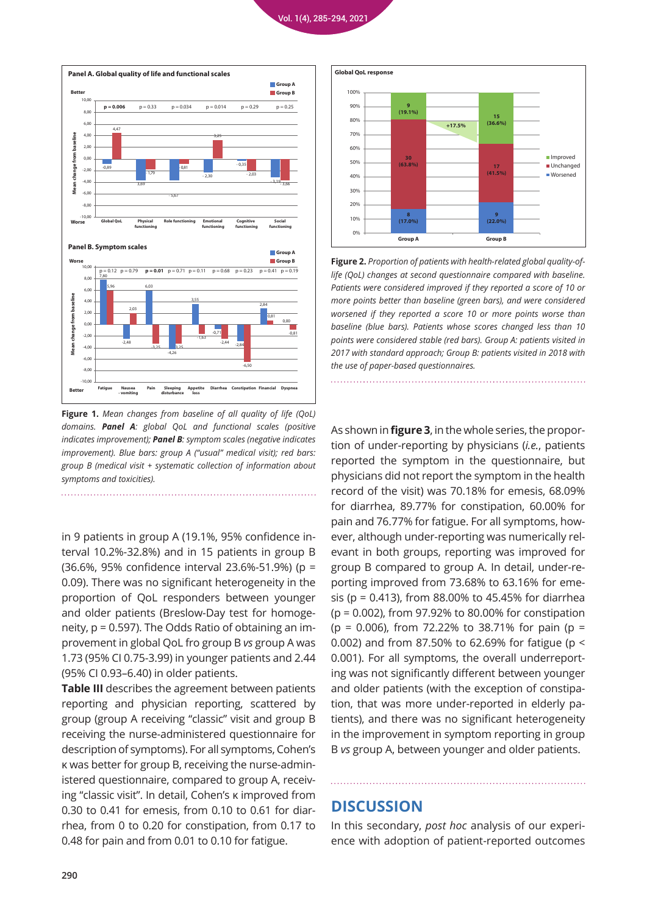



**Figure 1.** *Mean changes from baseline of all quality of life (QoL) domains. Panel A: global QoL and functional scales (positive indicates improvement); Panel B: symptom scales (negative indicates improvement). Blue bars: group A ("usual" medical visit); red bars: group B (medical visit + systematic collection of information about symptoms and toxicities).* 

in 9 patients in group A (19.1%, 95% confidence interval 10.2%-32.8%) and in 15 patients in group B (36.6%, 95% confidence interval 23.6%-51.9%) (p = 0.09). There was no significant heterogeneity in the proportion of QoL responders between younger and older patients (Breslow-Day test for homogeneity, p = 0.597). The Odds Ratio of obtaining an improvement in global QoL fro group B *vs* group A was 1.73 (95% CI 0.75-3.99) in younger patients and 2.44 (95% CI 0.93–6.40) in older patients.

**Table III** describes the agreement between patients reporting and physician reporting, scattered by group (group A receiving "classic" visit and group B receiving the nurse-administered questionnaire for description of symptoms). For all symptoms, Cohen's κ was better for group B, receiving the nurse-administered questionnaire, compared to group A, receiving "classic visit". In detail, Cohen's κ improved from 0.30 to 0.41 for emesis, from 0.10 to 0.61 for diarrhea, from 0 to 0.20 for constipation, from 0.17 to 0.48 for pain and from 0.01 to 0.10 for fatigue.



**Figure 2.** *Proportion of patients with health-related global quality-oflife (QoL) changes at second questionnaire compared with baseline. Patients were considered improved if they reported a score of 10 or more points better than baseline (green bars), and were considered worsened if they reported a score 10 or more points worse than baseline (blue bars). Patients whose scores changed less than 10 points were considered stable (red bars). Group A: patients visited in 2017 with standard approach; Group B: patients visited in 2018 with the use of paper-based questionnaires.*

As shown in **figure 3**, in the whole series, the proportion of under-reporting by physicians (*i.e.*, patients reported the symptom in the questionnaire, but physicians did not report the symptom in the health record of the visit) was 70.18% for emesis, 68.09% for diarrhea, 89.77% for constipation, 60.00% for pain and 76.77% for fatigue. For all symptoms, however, although under-reporting was numerically relevant in both groups, reporting was improved for group B compared to group A. In detail, under-reporting improved from 73.68% to 63.16% for emesis (p = 0.413), from 88.00% to 45.45% for diarrhea (p = 0.002), from 97.92% to 80.00% for constipation  $(p = 0.006)$ , from 72.22% to 38.71% for pain (p = 0.002) and from 87.50% to 62.69% for fatigue (p < 0.001). For all symptoms, the overall underreporting was not significantly different between younger and older patients (with the exception of constipation, that was more under-reported in elderly patients), and there was no significant heterogeneity in the improvement in symptom reporting in group B *vs* group A, between younger and older patients.

## **DISCUSSION**

In this secondary, *post hoc* analysis of our experience with adoption of patient-reported outcomes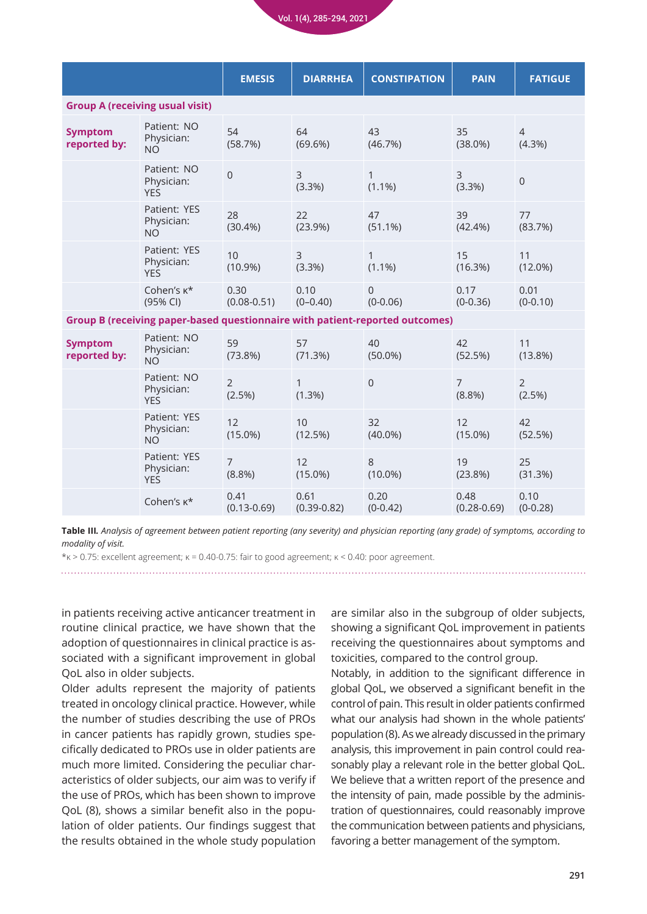Vol. 1(4), 285-294, 2021

|                                                                                     |                                          | <b>EMESIS</b>            | <b>DIARRHEA</b>             | <b>CONSTIPATION</b>       | <b>PAIN</b>                 | <b>FATIGUE</b>              |  |  |
|-------------------------------------------------------------------------------------|------------------------------------------|--------------------------|-----------------------------|---------------------------|-----------------------------|-----------------------------|--|--|
| <b>Group A (receiving usual visit)</b>                                              |                                          |                          |                             |                           |                             |                             |  |  |
| <b>Symptom</b><br>reported by:                                                      | Patient: NO<br>Physician:<br><b>NO</b>   | 54<br>(58.7%)            | 64<br>$(69.6\%)$            | 43<br>(46.7%)             | 35<br>$(38.0\%)$            | $\overline{4}$<br>$(4.3\%)$ |  |  |
|                                                                                     | Patient: NO<br>Physician:<br><b>YES</b>  | $\mathbf 0$              | $\overline{3}$<br>$(3.3\%)$ | $\mathbf{1}$<br>$(1.1\%)$ | $\overline{3}$<br>$(3.3\%)$ | $\mathbf 0$                 |  |  |
|                                                                                     | Patient: YES<br>Physician:<br><b>NO</b>  | 28<br>$(30.4\%)$         | 22<br>(23.9%)               | 47<br>$(51.1\%)$          | 39<br>$(42.4\%)$            | 77<br>(83.7%)               |  |  |
|                                                                                     | Patient: YES<br>Physician:<br><b>YES</b> | 10<br>$(10.9\%)$         | 3<br>(3.3%)                 | $\mathbf{1}$<br>$(1.1\%)$ | 15<br>(16.3%)               | 11<br>$(12.0\%)$            |  |  |
|                                                                                     | Cohen's $\kappa^*$<br>(95% CI)           | 0.30<br>$(0.08 - 0.51)$  | 0.10<br>$(0 - 0.40)$        | $\mathbf 0$<br>$(0-0.06)$ | 0.17<br>$(0-0.36)$          | 0.01<br>$(0-0.10)$          |  |  |
| <b>Group B (receiving paper-based questionnaire with patient-reported outcomes)</b> |                                          |                          |                             |                           |                             |                             |  |  |
| <b>Symptom</b><br>reported by:                                                      | Patient: NO<br>Physician:<br><b>NO</b>   | 59<br>(73.8%)            | 57<br>(71.3%)               | 40<br>$(50.0\%)$          | 42<br>(52.5%)               | 11<br>$(13.8\%)$            |  |  |
|                                                                                     | Patient: NO<br>Physician:<br><b>YES</b>  | $\overline{2}$<br>(2.5%) | $\mathbf{1}$<br>$(1.3\%)$   | $\overline{0}$            | $\overline{7}$<br>(8.8%)    | $\overline{2}$<br>(2.5%)    |  |  |
|                                                                                     | Patient: YES<br>Physician:<br><b>NO</b>  | 12<br>$(15.0\%)$         | 10<br>(12.5%)               | 32<br>$(40.0\%)$          | 12<br>$(15.0\%)$            | 42<br>(52.5%)               |  |  |
|                                                                                     | Patient: YES<br>Physician:<br><b>YES</b> | $\overline{7}$<br>(8.8%) | 12<br>$(15.0\%)$            | 8<br>$(10.0\%)$           | 19<br>(23.8%)               | 25<br>(31.3%)               |  |  |
|                                                                                     | Cohen's $\kappa^*$                       | 0.41<br>$(0.13 - 0.69)$  | 0.61<br>$(0.39 - 0.82)$     | 0.20<br>$(0-0.42)$        | 0.48<br>$(0.28 - 0.69)$     | 0.10<br>$(0-0.28)$          |  |  |

**Table III***. Analysis of agreement between patient reporting (any severity) and physician reporting (any grade) of symptoms, according to modality of visit.*

 $*_{K} > 0.75$ : excellent agreement;  $K = 0.40$ -0.75: fair to good agreement;  $K < 0.40$ : poor agreement.

in patients receiving active anticancer treatment in routine clinical practice, we have shown that the adoption of questionnaires in clinical practice is associated with a significant improvement in global QoL also in older subjects.

Older adults represent the majority of patients treated in oncology clinical practice. However, while the number of studies describing the use of PROs in cancer patients has rapidly grown, studies specifically dedicated to PROs use in older patients are much more limited. Considering the peculiar characteristics of older subjects, our aim was to verify if the use of PROs, which has been shown to improve QoL (8), shows a similar benefit also in the population of older patients. Our findings suggest that the results obtained in the whole study population

are similar also in the subgroup of older subjects, showing a significant QoL improvement in patients receiving the questionnaires about symptoms and toxicities, compared to the control group.

Notably, in addition to the significant difference in global QoL, we observed a significant benefit in the control of pain. This result in older patients confirmed what our analysis had shown in the whole patients' population (8). As we already discussed in the primary analysis, this improvement in pain control could reasonably play a relevant role in the better global QoL. We believe that a written report of the presence and the intensity of pain, made possible by the administration of questionnaires, could reasonably improve the communication between patients and physicians, favoring a better management of the symptom.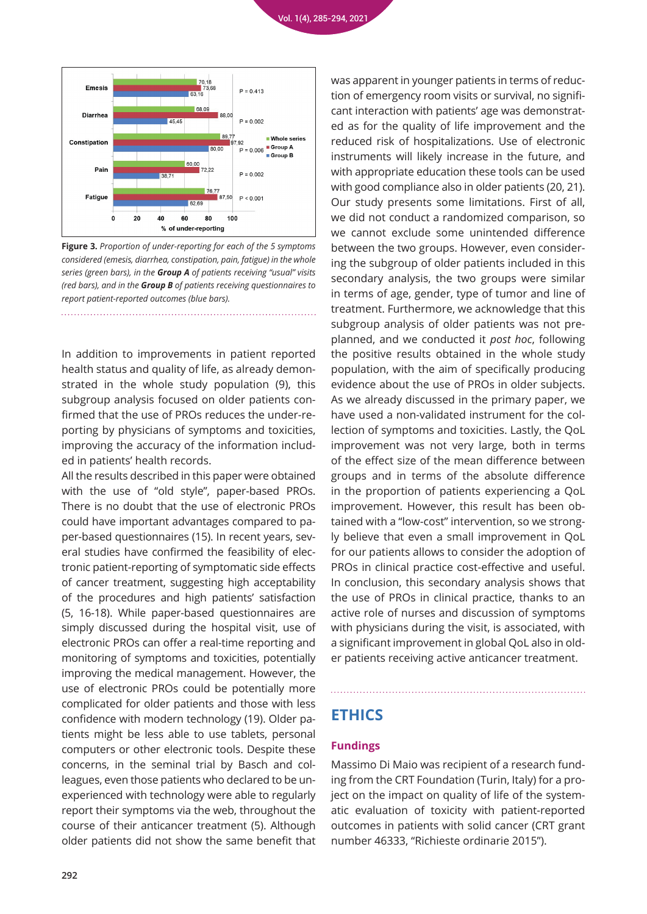

**Figure 3.** *Proportion of under-reporting for each of the 5 symptoms considered (emesis, diarrhea, constipation, pain, fatigue) in the whole series (green bars), in the Group A of patients receiving "usual" visits (red bars), and in the Group B of patients receiving questionnaires to report patient-reported outcomes (blue bars).*

In addition to improvements in patient reported health status and quality of life, as already demonstrated in the whole study population (9), this subgroup analysis focused on older patients confirmed that the use of PROs reduces the under-reporting by physicians of symptoms and toxicities, improving the accuracy of the information included in patients' health records.

All the results described in this paper were obtained with the use of "old style", paper-based PROs. There is no doubt that the use of electronic PROs could have important advantages compared to paper-based questionnaires (15). In recent years, several studies have confirmed the feasibility of electronic patient-reporting of symptomatic side effects of cancer treatment, suggesting high acceptability of the procedures and high patients' satisfaction (5, 16-18). While paper-based questionnaires are simply discussed during the hospital visit, use of electronic PROs can offer a real-time reporting and monitoring of symptoms and toxicities, potentially improving the medical management. However, the use of electronic PROs could be potentially more complicated for older patients and those with less confidence with modern technology (19). Older patients might be less able to use tablets, personal computers or other electronic tools. Despite these concerns, in the seminal trial by Basch and colleagues, even those patients who declared to be unexperienced with technology were able to regularly report their symptoms via the web, throughout the course of their anticancer treatment (5). Although older patients did not show the same benefit that

was apparent in younger patients in terms of reduction of emergency room visits or survival, no significant interaction with patients' age was demonstrated as for the quality of life improvement and the reduced risk of hospitalizations. Use of electronic instruments will likely increase in the future, and with appropriate education these tools can be used with good compliance also in older patients (20, 21). Our study presents some limitations. First of all, we did not conduct a randomized comparison, so we cannot exclude some unintended difference between the two groups. However, even considering the subgroup of older patients included in this secondary analysis, the two groups were similar in terms of age, gender, type of tumor and line of treatment. Furthermore, we acknowledge that this subgroup analysis of older patients was not preplanned, and we conducted it *post hoc*, following the positive results obtained in the whole study population, with the aim of specifically producing evidence about the use of PROs in older subjects. As we already discussed in the primary paper, we have used a non-validated instrument for the collection of symptoms and toxicities. Lastly, the QoL improvement was not very large, both in terms of the effect size of the mean difference between groups and in terms of the absolute difference in the proportion of patients experiencing a QoL improvement. However, this result has been obtained with a "low-cost" intervention, so we strongly believe that even a small improvement in QoL for our patients allows to consider the adoption of PROs in clinical practice cost-effective and useful. In conclusion, this secondary analysis shows that the use of PROs in clinical practice, thanks to an active role of nurses and discussion of symptoms with physicians during the visit, is associated, with a significant improvement in global QoL also in older patients receiving active anticancer treatment.

# **ETHICS**

#### **Fundings**

Massimo Di Maio was recipient of a research funding from the CRT Foundation (Turin, Italy) for a project on the impact on quality of life of the systematic evaluation of toxicity with patient-reported outcomes in patients with solid cancer (CRT grant number 46333, "Richieste ordinarie 2015").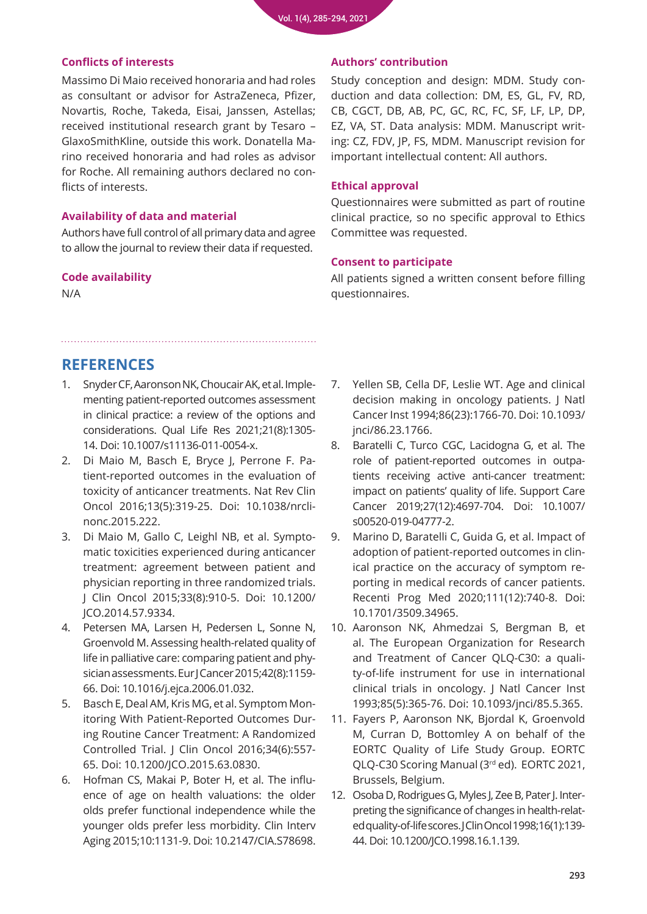#### **Conflicts of interests**

Massimo Di Maio received honoraria and had roles as consultant or advisor for AstraZeneca, Pfizer, Novartis, Roche, Takeda, Eisai, Janssen, Astellas; received institutional research grant by Tesaro – GlaxoSmithKline, outside this work. Donatella Marino received honoraria and had roles as advisor for Roche. All remaining authors declared no conflicts of interests.

## **Availability of data and material**

Authors have full control of all primary data and agree to allow the journal to review their data if requested.

#### **Code availability**

N/A

## **Authors' contribution**

Study conception and design: MDM. Study conduction and data collection: DM, ES, GL, FV, RD, CB, CGCT, DB, AB, PC, GC, RC, FC, SF, LF, LP, DP, EZ, VA, ST. Data analysis: MDM. Manuscript writing: CZ, FDV, JP, FS, MDM. Manuscript revision for important intellectual content: All authors.

## **Ethical approval**

Questionnaires were submitted as part of routine clinical practice, so no specific approval to Ethics Committee was requested.

## **Consent to participate**

All patients signed a written consent before filling questionnaires.

# **REFERENCES**

- 1. Snyder CF, Aaronson NK, Choucair AK, et al. Imple[menting patient-reported outcomes assessment](https://pubmed.ncbi.nlm.nih.gov/22048932/)  in clinical practice: a review of the options and considerations. Qual Life Res 2021;21(8):1305- 14. Doi: 10.1007/s11136-011-0054-x.
- 2. Di Maio M, Basch E, Bryce J, Perrone F. Pa[tient-reported outcomes in the evaluation of](https://pubmed.ncbi.nlm.nih.gov/26787278/)  toxicity of anticancer treatments. Nat Rev Clin Oncol 2016;13(5):319-25. Doi: 10.1038/nrclinonc.2015.222.
- 3. Di Maio M, Gallo C, Leighl NB, et al. Sympto[matic toxicities experienced during anticancer](https://pubmed.ncbi.nlm.nih.gov/25624439/)  treatment: agreement between patient and physician reporting in three randomized trials. J Clin Oncol 2015;33(8):910-5. Doi: 10.1200/ JCO.2014.57.9334.
- 4. [Petersen MA, Larsen H, Pedersen L, Sonne N,](https://pubmed.ncbi.nlm.nih.gov/16624553/)  Groenvold M. Assessing health-related quality of life in palliative care: comparing patient and physician assessments. Eur J Cancer 2015;42(8):1159- 66. Doi: 10.1016/j.ejca.2006.01.032.
- 5. Basch E, Deal AM, Kris MG, et al. Symptom Monitoring With Patient-Reported Outcomes Dur[ing Routine Cancer Treatment: A Randomized](https://pubmed.ncbi.nlm.nih.gov/26644527/)  Controlled Trial. J Clin Oncol 2016;34(6):557- 65. Doi: 10.1200/JCO.2015.63.0830.
- 6. Hofman CS, Makai P, Boter H, et al. The influ[ence of age on health valuations: the older](https://pubmed.ncbi.nlm.nih.gov/26185432/)  olds prefer functional independence while the younger olds prefer less morbidity. Clin Interv Aging 2015;10:1131-9. Doi: 10.2147/CIA.S78698.
- 7. [Yellen SB, Cella DF, Leslie WT. Age and clinical](https://pubmed.ncbi.nlm.nih.gov/7966414/)  decision making in oncology patients. J Natl Cancer Inst 1994;86(23):1766-70. Doi: 10.1093/ jnci/86.23.1766.
- 8. [Baratelli C, Turco CGC, Lacidogna G, et al. The](https://pubmed.ncbi.nlm.nih.gov/30949832/)  role of patient-reported outcomes in outpatients receiving active anti-cancer treatment: impact on patients' quality of life. Support Care Cancer 2019;27(12):4697-704. Doi: 10.1007/ s00520-019-04777-2.
- 9. [Marino D, Baratelli C, Guida G, et al. Impact of](https://pubmed.ncbi.nlm.nih.gov/33362171/)  adoption of patient-reported outcomes in clinical practice on the accuracy of symptom reporting in medical records of cancer patients. Recenti Prog Med 2020;111(12):740-8. Doi: 10.1701/3509.34965.
- 10. [Aaronson NK, Ahmedzai S, Bergman B, et](https://pubmed.ncbi.nlm.nih.gov/8433390/)  al. The European Organization for Research and Treatment of Cancer QLQ-C30: a quality-of-life instrument for use in international clinical trials in oncology. J Natl Cancer Inst 1993;85(5):365-76. Doi: 10.1093/jnci/85.5.365.
- 11. Fayers P, Aaronson NK, Bjordal K, Groenvold M, Curran D, Bottomley A on behalf of the EORTC Quality of Life Study Group. EORTC QLQ-C30 Scoring Manual (3rd ed). EORTC 2021, Brussels, Belgium.
- 12. Osoba D, Rodrigues G, Myles J, Zee B, Pater J. Interpreting the significance of changes in health-relat[ed quality-of-life scores. J Clin Oncol 1998;16\(1\):139-](https://pubmed.ncbi.nlm.nih.gov/9440735/) 44. Doi: 10.1200/JCO.1998.16.1.139.